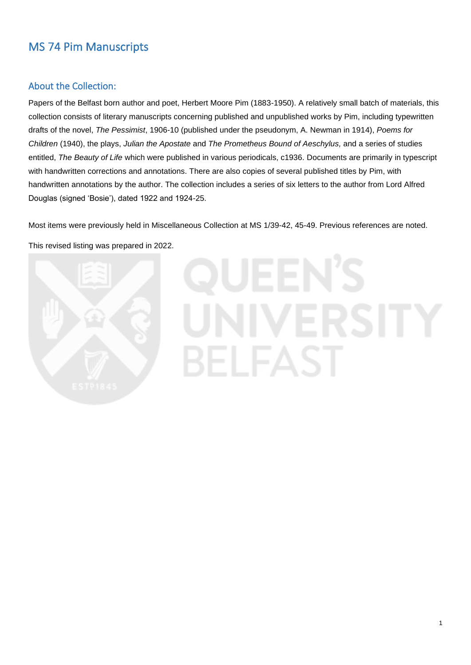# MS 74 Pim Manuscripts

# About the Collection:

Papers of the Belfast born author and poet, Herbert Moore Pim (1883-1950). A relatively small batch of materials, this collection consists of literary manuscripts concerning published and unpublished works by Pim, including typewritten drafts of the novel, *The Pessimist*, 1906-10 (published under the pseudonym, A. Newman in 1914), *Poems for Children* (1940), the plays, *Julian the Apostate* and *The Prometheus Bound of Aeschylus,* and a series of studies entitled, *The Beauty of Life* which were published in various periodicals, c1936. Documents are primarily in typescript with handwritten corrections and annotations. There are also copies of several published titles by Pim, with handwritten annotations by the author. The collection includes a series of six letters to the author from Lord Alfred Douglas (signed 'Bosie'), dated 1922 and 1924-25.

Most items were previously held in Miscellaneous Collection at MS 1/39-42, 45-49. Previous references are noted. This revised listing was prepared in 2022.



# BELFA

1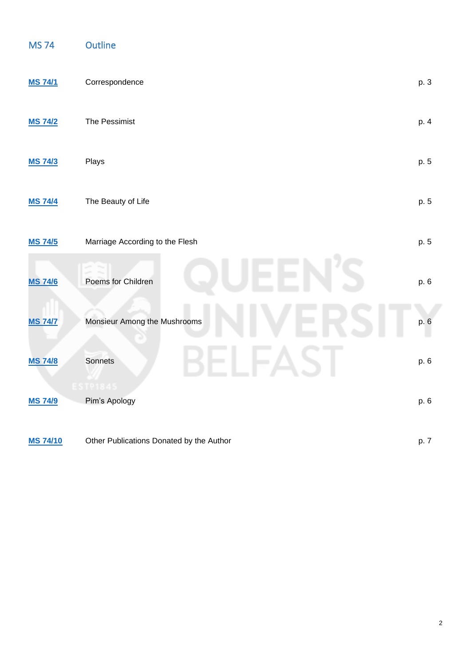| <b>MS74</b>     | <b>Outline</b>                           |      |
|-----------------|------------------------------------------|------|
| <b>MS 74/1</b>  | Correspondence                           | p. 3 |
| <b>MS 74/2</b>  | The Pessimist                            | p. 4 |
| <b>MS 74/3</b>  | Plays                                    |      |
| <b>MS 74/4</b>  | The Beauty of Life                       | p. 5 |
| <b>MS 74/5</b>  | Marriage According to the Flesh          | p. 5 |
| <b>MS 74/6</b>  | Poems for Children                       | p. 6 |
| <b>MS 74/7</b>  | Monsieur Among the Mushrooms             | p. 6 |
| <b>MS 74/8</b>  | Sonnets                                  | p. 6 |
| <b>MS 74/9</b>  | <b>ESTP1845</b><br>Pim's Apology         | p. 6 |
| <b>MS 74/10</b> | Other Publications Donated by the Author | p. 7 |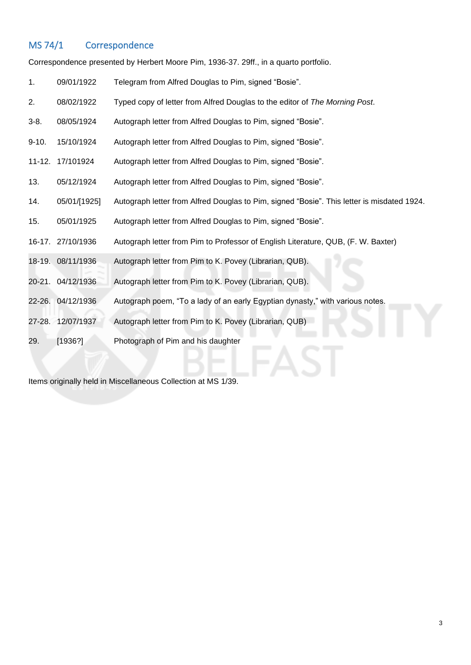# <span id="page-2-0"></span>MS 74/1 Correspondence

Correspondence presented by Herbert Moore Pim, 1936-37. 29ff., in a quarto portfolio.

| 1.      | 09/01/1922        | Telegram from Alfred Douglas to Pim, signed "Bosie".                                       |
|---------|-------------------|--------------------------------------------------------------------------------------------|
| 2.      | 08/02/1922        | Typed copy of letter from Alfred Douglas to the editor of The Morning Post.                |
| $3-8.$  | 08/05/1924        | Autograph letter from Alfred Douglas to Pim, signed "Bosie".                               |
| $9-10.$ | 15/10/1924        | Autograph letter from Alfred Douglas to Pim, signed "Bosie".                               |
|         | 11-12. 17/101924  | Autograph letter from Alfred Douglas to Pim, signed "Bosie".                               |
| 13.     | 05/12/1924        | Autograph letter from Alfred Douglas to Pim, signed "Bosie".                               |
| 14.     | 05/01/[1925]      | Autograph letter from Alfred Douglas to Pim, signed "Bosie". This letter is misdated 1924. |
| 15.     | 05/01/1925        | Autograph letter from Alfred Douglas to Pim, signed "Bosie".                               |
|         | 16-17. 27/10/1936 | Autograph letter from Pim to Professor of English Literature, QUB, (F. W. Baxter)          |
|         | 18-19. 08/11/1936 | Autograph letter from Pim to K. Povey (Librarian, QUB).                                    |
|         | 20-21. 04/12/1936 | Autograph letter from Pim to K. Povey (Librarian, QUB).                                    |
|         | 22-26. 04/12/1936 | Autograph poem, "To a lady of an early Egyptian dynasty," with various notes.              |
|         | 27-28. 12/07/1937 | Autograph letter from Pim to K. Povey (Librarian, QUB)                                     |
| 29.     | [1936?]           | Photograph of Pim and his daughter                                                         |

Items originally held in Miscellaneous Collection at MS 1/39.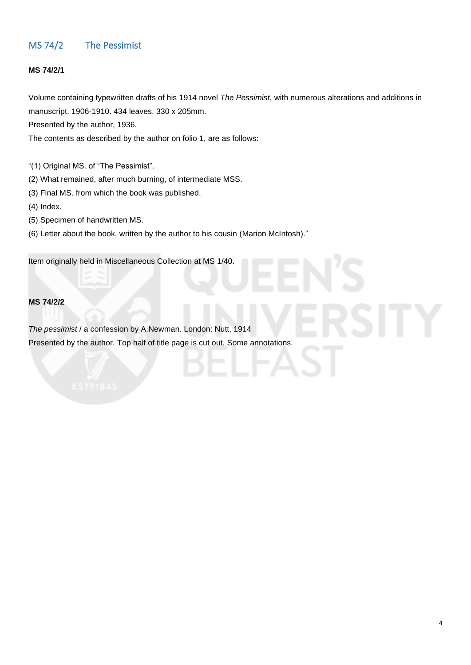# <span id="page-3-0"></span>MS 74/2 The Pessimist

#### **MS 74/2/1**

Volume containing typewritten drafts of his 1914 novel *The Pessimist*, with numerous alterations and additions in manuscript. 1906-1910. 434 leaves. 330 x 205mm.

Presented by the author, 1936.

The contents as described by the author on folio 1, are as follows:

"(1) Original MS. of "The Pessimist".

(2) What remained, after much burning, of intermediate MSS.

- (3) Final MS. from which the book was published.
- (4) Index.
- (5) Specimen of handwritten MS.
- (6) Letter about the book, written by the author to his cousin (Marion McIntosh)."

Item originally held in Miscellaneous Collection at MS 1/40.

#### **MS 74/2/2**

*The pessimist* / a confession by A.Newman. London: Nutt, 1914 Presented by the author. Top half of title page is cut out. Some annotations.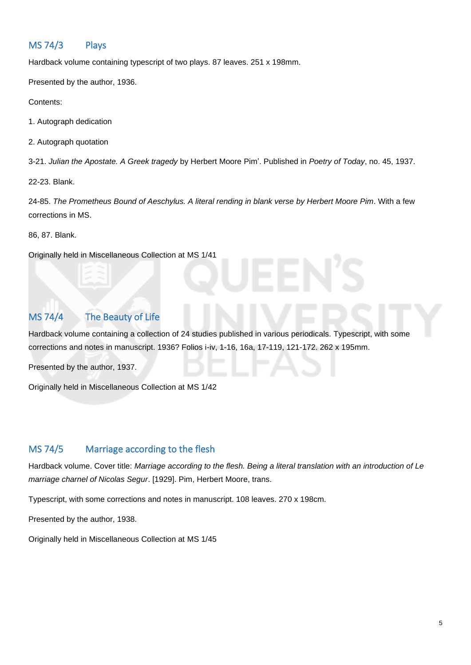# <span id="page-4-0"></span>MS 74/3 Plays

Hardback volume containing typescript of two plays. 87 leaves. 251 x 198mm.

Presented by the author, 1936.

Contents:

1. Autograph dedication

2. Autograph quotation

3-21. *Julian the Apostate. A Greek tragedy* by Herbert Moore Pim'. Published in *Poetry of Today*, no. 45, 1937.

22-23. Blank.

24-85. *The Prometheus Bound of Aeschylus. A literal rending in blank verse by Herbert Moore Pim*. With a few corrections in MS.

86, 87. Blank.

Originally held in Miscellaneous Collection at MS 1/41

# <span id="page-4-1"></span>MS 74/4 The Beauty of Life

Hardback volume containing a collection of 24 studies published in various periodicals. Typescript, with some corrections and notes in manuscript. 1936? Folios i-iv, 1-16, 16a, 17-119, 121-172. 262 x 195mm.

Presented by the author, 1937.

Originally held in Miscellaneous Collection at MS 1/42

## <span id="page-4-2"></span>MS 74/5 Marriage according to the flesh

Hardback volume. Cover title: *Marriage according to the flesh. Being a literal translation with an introduction of Le marriage charnel of Nicolas Segur*. [1929]. Pim, Herbert Moore, trans.

Typescript, with some corrections and notes in manuscript. 108 leaves. 270 x 198cm.

Presented by the author, 1938.

Originally held in Miscellaneous Collection at MS 1/45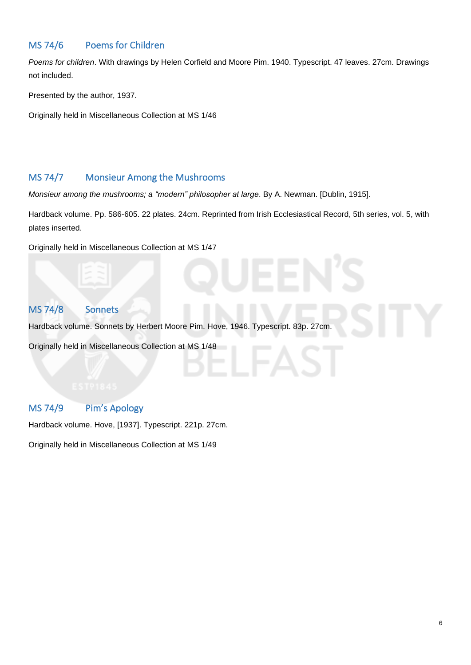# <span id="page-5-0"></span>MS 74/6 Poems for Children

*Poems for children*. With drawings by Helen Corfield and Moore Pim. 1940. Typescript. 47 leaves. 27cm. Drawings not included.

Presented by the author, 1937.

Originally held in Miscellaneous Collection at MS 1/46

## <span id="page-5-1"></span>MS 74/7 Monsieur Among the Mushrooms

*Monsieur among the mushrooms; a "modern" philosopher at large*. By A. Newman. [Dublin, 1915].

Hardback volume. Pp. 586-605. 22 plates. 24cm. Reprinted from Irish Ecclesiastical Record, 5th series, vol. 5, with plates inserted.

Originally held in Miscellaneous Collection at MS 1/47

# <span id="page-5-2"></span>MS 74/8 Sonnets

Hardback volume. Sonnets by Herbert Moore Pim. Hove, 1946. Typescript. 83p. 27cm.

Originally held in Miscellaneous Collection at MS 1/48

# <span id="page-5-3"></span>MS 74/9 Pim's Apology

Hardback volume. Hove, [1937]. Typescript. 221p. 27cm.

Originally held in Miscellaneous Collection at MS 1/49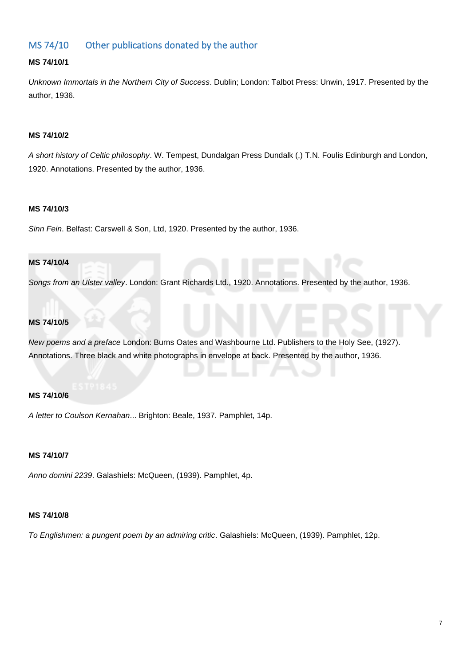# <span id="page-6-0"></span>MS 74/10 Other publications donated by the author

#### **MS 74/10/1**

*Unknown Immortals in the Northern City of Success*. Dublin; London: Talbot Press: Unwin, 1917. Presented by the author, 1936.

#### **MS 74/10/2**

*A short history of Celtic philosophy*. W. Tempest, Dundalgan Press Dundalk (,) T.N. Foulis Edinburgh and London, 1920. Annotations. Presented by the author, 1936.

#### **MS 74/10/3**

*Sinn Fein*. Belfast: Carswell & Son, Ltd, 1920. Presented by the author, 1936.

#### **MS 74/10/4**

*Songs from an Ulster valley*. London: Grant Richards Ltd., 1920. Annotations. Presented by the author, 1936.

#### **MS 74/10/5**

*New poems and a preface* London: Burns Oates and Washbourne Ltd. Publishers to the Holy See, (1927). Annotations. Three black and white photographs in envelope at back. Presented by the author, 1936.

#### **MS 74/10/6**

*A letter to Coulson Kernahan*... Brighton: Beale, 1937. Pamphlet, 14p.

#### **MS 74/10/7**

*Anno domini 2239*. Galashiels: McQueen, (1939). Pamphlet, 4p.

#### **MS 74/10/8**

*To Englishmen: a pungent poem by an admiring critic*. Galashiels: McQueen, (1939). Pamphlet, 12p.